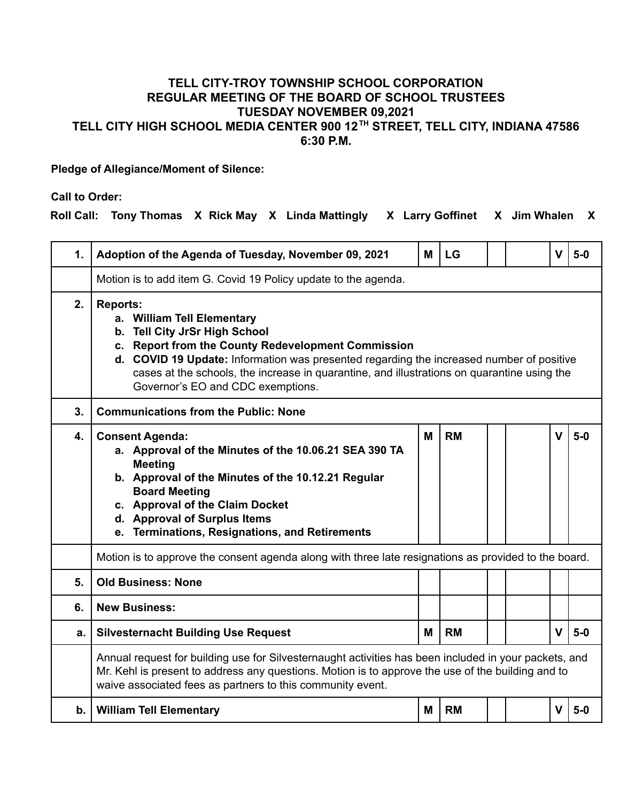## **TELL CITY-TROY TOWNSHIP SCHOOL CORPORATION REGULAR MEETING OF THE BOARD OF SCHOOL TRUSTEES TUESDAY NOVEMBER 09,2021 TELL CITY HIGH SCHOOL MEDIA CENTER 900 12 TH STREET, TELL CITY, INDIANA 47586 6:30 P.M.**

**Pledge of Allegiance/Moment of Silence:**

**Call to Order:**

**Roll Call: Tony Thomas X Rick May X Linda Mattingly X Larry Goffinet X Jim Whalen X**

| 1. | Adoption of the Agenda of Tuesday, November 09, 2021                                                                                                                                                                                                                                                                                                                 | M | LG        |  |  | v            | $5-0$ |  |
|----|----------------------------------------------------------------------------------------------------------------------------------------------------------------------------------------------------------------------------------------------------------------------------------------------------------------------------------------------------------------------|---|-----------|--|--|--------------|-------|--|
|    | Motion is to add item G. Covid 19 Policy update to the agenda.                                                                                                                                                                                                                                                                                                       |   |           |  |  |              |       |  |
| 2. | <b>Reports:</b><br>a. William Tell Elementary<br>b. Tell City JrSr High School<br>c. Report from the County Redevelopment Commission<br>d. COVID 19 Update: Information was presented regarding the increased number of positive<br>cases at the schools, the increase in quarantine, and illustrations on quarantine using the<br>Governor's EO and CDC exemptions. |   |           |  |  |              |       |  |
| 3. | <b>Communications from the Public: None</b>                                                                                                                                                                                                                                                                                                                          |   |           |  |  |              |       |  |
| 4. | <b>Consent Agenda:</b><br>a. Approval of the Minutes of the 10.06.21 SEA 390 TA<br><b>Meeting</b><br>b. Approval of the Minutes of the 10.12.21 Regular<br><b>Board Meeting</b><br>c. Approval of the Claim Docket<br>d. Approval of Surplus Items<br>e. Terminations, Resignations, and Retirements                                                                 | М | <b>RM</b> |  |  | v            | $5-0$ |  |
|    | Motion is to approve the consent agenda along with three late resignations as provided to the board.                                                                                                                                                                                                                                                                 |   |           |  |  |              |       |  |
| 5. | <b>Old Business: None</b>                                                                                                                                                                                                                                                                                                                                            |   |           |  |  |              |       |  |
| 6. | <b>New Business:</b>                                                                                                                                                                                                                                                                                                                                                 |   |           |  |  |              |       |  |
| a. | <b>Silvesternacht Building Use Request</b>                                                                                                                                                                                                                                                                                                                           | м | <b>RM</b> |  |  | $\mathbf{V}$ | $5-0$ |  |
|    | Annual request for building use for Silvesternaught activities has been included in your packets, and<br>Mr. Kehl is present to address any questions. Motion is to approve the use of the building and to<br>waive associated fees as partners to this community event.                                                                                             |   |           |  |  |              |       |  |
| b. | <b>William Tell Elementary</b>                                                                                                                                                                                                                                                                                                                                       | M | <b>RM</b> |  |  | $\mathbf{V}$ | $5-0$ |  |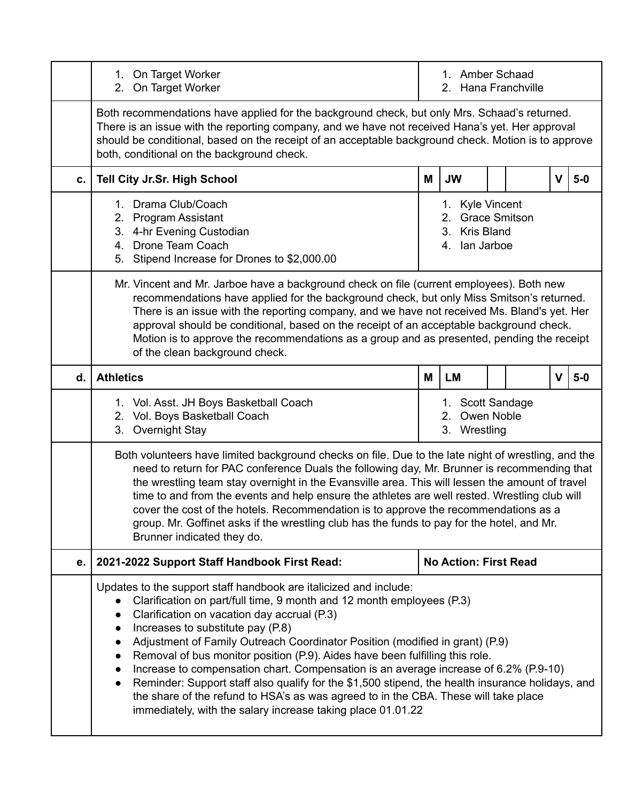|    | 1. On Target Worker<br>2. On Target Worker                                                                                                                                                                                                                                                                                                                                                                                                                                                                                                                                                                                                                                                                                                                                 | 1. Amber Schaad<br>Hana Franchville<br>2.                                                                                                                                                                                                                                                              |                                                      |  |  |             |       |
|----|----------------------------------------------------------------------------------------------------------------------------------------------------------------------------------------------------------------------------------------------------------------------------------------------------------------------------------------------------------------------------------------------------------------------------------------------------------------------------------------------------------------------------------------------------------------------------------------------------------------------------------------------------------------------------------------------------------------------------------------------------------------------------|--------------------------------------------------------------------------------------------------------------------------------------------------------------------------------------------------------------------------------------------------------------------------------------------------------|------------------------------------------------------|--|--|-------------|-------|
|    | both, conditional on the background check.                                                                                                                                                                                                                                                                                                                                                                                                                                                                                                                                                                                                                                                                                                                                 | Both recommendations have applied for the background check, but only Mrs. Schaad's returned.<br>There is an issue with the reporting company, and we have not received Hana's yet. Her approval<br>should be conditional, based on the receipt of an acceptable background check. Motion is to approve |                                                      |  |  |             |       |
| C. | Tell City Jr.Sr. High School                                                                                                                                                                                                                                                                                                                                                                                                                                                                                                                                                                                                                                                                                                                                               | <b>JW</b><br>$\mathbf v$<br>$5-0$<br>M                                                                                                                                                                                                                                                                 |                                                      |  |  |             |       |
|    | 1. Drama Club/Coach<br>2. Program Assistant<br>3. 4-hr Evening Custodian<br>4. Drone Team Coach<br>5. Stipend Increase for Drones to \$2,000.00                                                                                                                                                                                                                                                                                                                                                                                                                                                                                                                                                                                                                            | 1. Kyle Vincent<br>2. Grace Smitson<br>3. Kris Bland<br>4. Ian Jarboe                                                                                                                                                                                                                                  |                                                      |  |  |             |       |
|    | Mr. Vincent and Mr. Jarboe have a background check on file (current employees). Both new<br>recommendations have applied for the background check, but only Miss Smitson's returned.<br>There is an issue with the reporting company, and we have not received Ms. Bland's yet. Her<br>approval should be conditional, based on the receipt of an acceptable background check.<br>Motion is to approve the recommendations as a group and as presented, pending the receipt<br>of the clean background check.                                                                                                                                                                                                                                                              |                                                                                                                                                                                                                                                                                                        |                                                      |  |  |             |       |
| d. | <b>Athletics</b>                                                                                                                                                                                                                                                                                                                                                                                                                                                                                                                                                                                                                                                                                                                                                           | M                                                                                                                                                                                                                                                                                                      | <b>LM</b>                                            |  |  | $\mathbf v$ | $5-0$ |
|    | 1. Vol. Asst. JH Boys Basketball Coach<br>2. Vol. Boys Basketball Coach<br>3. Overnight Stay                                                                                                                                                                                                                                                                                                                                                                                                                                                                                                                                                                                                                                                                               |                                                                                                                                                                                                                                                                                                        | 1. Scott Sandage<br>Owen Noble<br>2.<br>3. Wrestling |  |  |             |       |
|    | Both volunteers have limited background checks on file. Due to the late night of wrestling, and the<br>need to return for PAC conference Duals the following day, Mr. Brunner is recommending that<br>the wrestling team stay overnight in the Evansville area. This will lessen the amount of travel<br>time to and from the events and help ensure the athletes are well rested. Wrestling club will<br>cover the cost of the hotels. Recommendation is to approve the recommendations as a<br>group. Mr. Goffinet asks if the wrestling club has the funds to pay for the hotel, and Mr.<br>Brunner indicated they do.                                                                                                                                                  |                                                                                                                                                                                                                                                                                                        |                                                      |  |  |             |       |
| е. | 2021-2022 Support Staff Handbook First Read:                                                                                                                                                                                                                                                                                                                                                                                                                                                                                                                                                                                                                                                                                                                               | <b>No Action: First Read</b>                                                                                                                                                                                                                                                                           |                                                      |  |  |             |       |
|    | Updates to the support staff handbook are italicized and include:<br>Clarification on part/full time, 9 month and 12 month employees (P.3)<br>Clarification on vacation day accrual (P.3)<br>Increases to substitute pay (P.8)<br>$\bullet$<br>Adjustment of Family Outreach Coordinator Position (modified in grant) (P.9)<br>Removal of bus monitor position (P.9). Aides have been fulfilling this role.<br>Increase to compensation chart. Compensation is an average increase of 6.2% (P.9-10)<br>Reminder: Support staff also qualify for the \$1,500 stipend, the health insurance holidays, and<br>$\bullet$<br>the share of the refund to HSA's as was agreed to in the CBA. These will take place<br>immediately, with the salary increase taking place 01.01.22 |                                                                                                                                                                                                                                                                                                        |                                                      |  |  |             |       |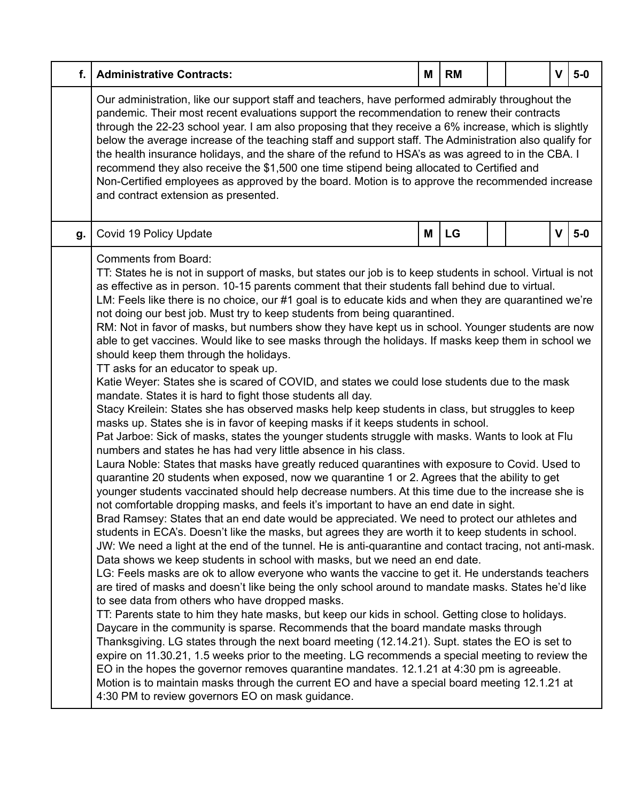| f. | <b>Administrative Contracts:</b>                                                                                                                                                                                                                                                                                                                                                                                                                                                                                                                                                                                                                                                                                                                                                                                                                                                                                                                                                                                                                                                                                                                                                                                                                                                                                                                                                                                                                                                                                                                                                                                                                                                                                                                                                                                                                                                                                                                                                                                                                                                                                                                                                                                                                                                                                                                                                                                                                                                                                                                                                                                                                                                                                                                                                                                                                                                                                                                                                               | Μ | <b>RM</b> |  |  | $\mathbf{V}$ | $5-0$ |
|----|------------------------------------------------------------------------------------------------------------------------------------------------------------------------------------------------------------------------------------------------------------------------------------------------------------------------------------------------------------------------------------------------------------------------------------------------------------------------------------------------------------------------------------------------------------------------------------------------------------------------------------------------------------------------------------------------------------------------------------------------------------------------------------------------------------------------------------------------------------------------------------------------------------------------------------------------------------------------------------------------------------------------------------------------------------------------------------------------------------------------------------------------------------------------------------------------------------------------------------------------------------------------------------------------------------------------------------------------------------------------------------------------------------------------------------------------------------------------------------------------------------------------------------------------------------------------------------------------------------------------------------------------------------------------------------------------------------------------------------------------------------------------------------------------------------------------------------------------------------------------------------------------------------------------------------------------------------------------------------------------------------------------------------------------------------------------------------------------------------------------------------------------------------------------------------------------------------------------------------------------------------------------------------------------------------------------------------------------------------------------------------------------------------------------------------------------------------------------------------------------------------------------------------------------------------------------------------------------------------------------------------------------------------------------------------------------------------------------------------------------------------------------------------------------------------------------------------------------------------------------------------------------------------------------------------------------------------------------------------------------|---|-----------|--|--|--------------|-------|
|    | Our administration, like our support staff and teachers, have performed admirably throughout the<br>pandemic. Their most recent evaluations support the recommendation to renew their contracts<br>through the 22-23 school year. I am also proposing that they receive a 6% increase, which is slightly<br>below the average increase of the teaching staff and support staff. The Administration also qualify for<br>the health insurance holidays, and the share of the refund to HSA's as was agreed to in the CBA. I<br>recommend they also receive the \$1,500 one time stipend being allocated to Certified and<br>Non-Certified employees as approved by the board. Motion is to approve the recommended increase<br>and contract extension as presented.                                                                                                                                                                                                                                                                                                                                                                                                                                                                                                                                                                                                                                                                                                                                                                                                                                                                                                                                                                                                                                                                                                                                                                                                                                                                                                                                                                                                                                                                                                                                                                                                                                                                                                                                                                                                                                                                                                                                                                                                                                                                                                                                                                                                                              |   |           |  |  |              |       |
| g. | Covid 19 Policy Update                                                                                                                                                                                                                                                                                                                                                                                                                                                                                                                                                                                                                                                                                                                                                                                                                                                                                                                                                                                                                                                                                                                                                                                                                                                                                                                                                                                                                                                                                                                                                                                                                                                                                                                                                                                                                                                                                                                                                                                                                                                                                                                                                                                                                                                                                                                                                                                                                                                                                                                                                                                                                                                                                                                                                                                                                                                                                                                                                                         | M | LG        |  |  | $\mathbf v$  | $5-0$ |
|    | <b>Comments from Board:</b><br>TT: States he is not in support of masks, but states our job is to keep students in school. Virtual is not<br>as effective as in person. 10-15 parents comment that their students fall behind due to virtual.<br>LM: Feels like there is no choice, our #1 goal is to educate kids and when they are quarantined we're<br>not doing our best job. Must try to keep students from being quarantined.<br>RM: Not in favor of masks, but numbers show they have kept us in school. Younger students are now<br>able to get vaccines. Would like to see masks through the holidays. If masks keep them in school we<br>should keep them through the holidays.<br>TT asks for an educator to speak up.<br>Katie Weyer: States she is scared of COVID, and states we could lose students due to the mask<br>mandate. States it is hard to fight those students all day.<br>Stacy Kreilein: States she has observed masks help keep students in class, but struggles to keep<br>masks up. States she is in favor of keeping masks if it keeps students in school.<br>Pat Jarboe: Sick of masks, states the younger students struggle with masks. Wants to look at Flu<br>numbers and states he has had very little absence in his class.<br>Laura Noble: States that masks have greatly reduced quarantines with exposure to Covid. Used to<br>quarantine 20 students when exposed, now we quarantine 1 or 2. Agrees that the ability to get<br>younger students vaccinated should help decrease numbers. At this time due to the increase she is<br>not comfortable dropping masks, and feels it's important to have an end date in sight.<br>Brad Ramsey: States that an end date would be appreciated. We need to protect our athletes and<br>students in ECA's. Doesn't like the masks, but agrees they are worth it to keep students in school.<br>JW: We need a light at the end of the tunnel. He is anti-quarantine and contact tracing, not anti-mask.<br>Data shows we keep students in school with masks, but we need an end date.<br>LG: Feels masks are ok to allow everyone who wants the vaccine to get it. He understands teachers<br>are tired of masks and doesn't like being the only school around to mandate masks. States he'd like<br>to see data from others who have dropped masks.<br>TT: Parents state to him they hate masks, but keep our kids in school. Getting close to holidays.<br>Daycare in the community is sparse. Recommends that the board mandate masks through<br>Thanksgiving. LG states through the next board meeting (12.14.21). Supt. states the EO is set to<br>expire on 11.30.21, 1.5 weeks prior to the meeting. LG recommends a special meeting to review the<br>EO in the hopes the governor removes quarantine mandates. 12.1.21 at 4:30 pm is agreeable.<br>Motion is to maintain masks through the current EO and have a special board meeting 12.1.21 at<br>4:30 PM to review governors EO on mask guidance. |   |           |  |  |              |       |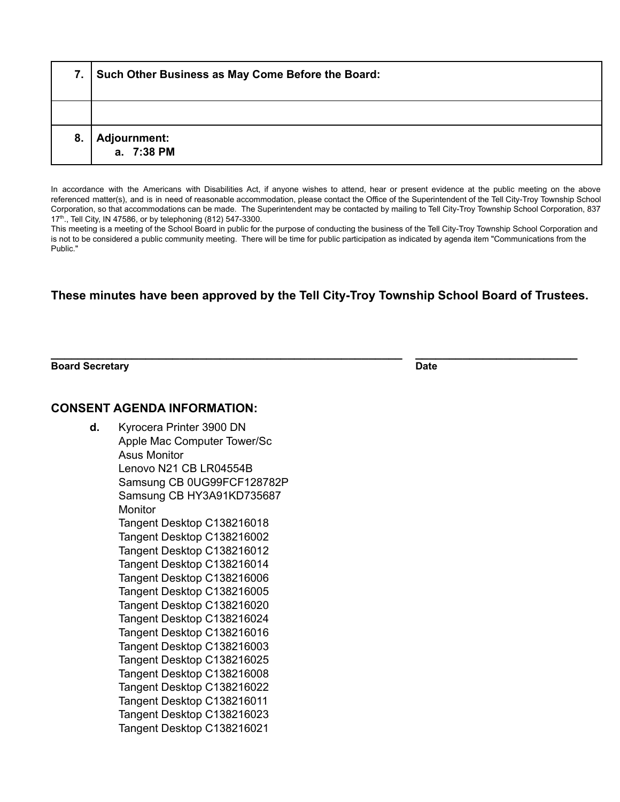| 7. | Such Other Business as May Come Before the Board: |
|----|---------------------------------------------------|
|    |                                                   |
| 8. | <b>Adjournment:</b><br>a. 7:38 PM                 |

In accordance with the Americans with Disabilities Act, if anyone wishes to attend, hear or present evidence at the public meeting on the above referenced matter(s), and is in need of reasonable accommodation, please contact the Office of the Superintendent of the Tell City-Troy Township School Corporation, so that accommodations can be made. The Superintendent may be contacted by mailing to Tell City-Troy Township School Corporation, 837 17<sup>th</sup>., Tell City, IN 47586, or by telephoning (812) 547-3300.

This meeting is a meeting of the School Board in public for the purpose of conducting the business of the Tell City-Troy Township School Corporation and is not to be considered a public community meeting. There will be time for public participation as indicated by agenda item "Communications from the Public."

## **These minutes have been approved by the Tell City-Troy Township School Board of Trustees.**

**\_\_\_\_\_\_\_\_\_\_\_\_\_\_\_\_\_\_\_\_\_\_\_\_\_\_\_\_\_\_\_\_\_\_\_\_\_\_\_\_\_\_\_\_\_\_\_\_\_\_\_\_ \_\_\_\_\_\_\_\_\_\_\_\_\_\_\_\_\_\_\_\_\_\_\_\_**

**Board Secretary Date**

## **CONSENT AGENDA INFORMATION:**

**d.** Kyrocera Printer 3900 DN Apple Mac Computer Tower/Sc Asus Monitor Lenovo N21 CB LR04554B Samsung CB 0UG99FCF128782P Samsung CB HY3A91KD735687 **Monitor** Tangent Desktop C138216018 Tangent Desktop C138216002 Tangent Desktop C138216012 Tangent Desktop C138216014 Tangent Desktop C138216006 Tangent Desktop C138216005 Tangent Desktop C138216020 Tangent Desktop C138216024 Tangent Desktop C138216016 Tangent Desktop C138216003 Tangent Desktop C138216025 Tangent Desktop C138216008 Tangent Desktop C138216022 Tangent Desktop C138216011 Tangent Desktop C138216023 Tangent Desktop C138216021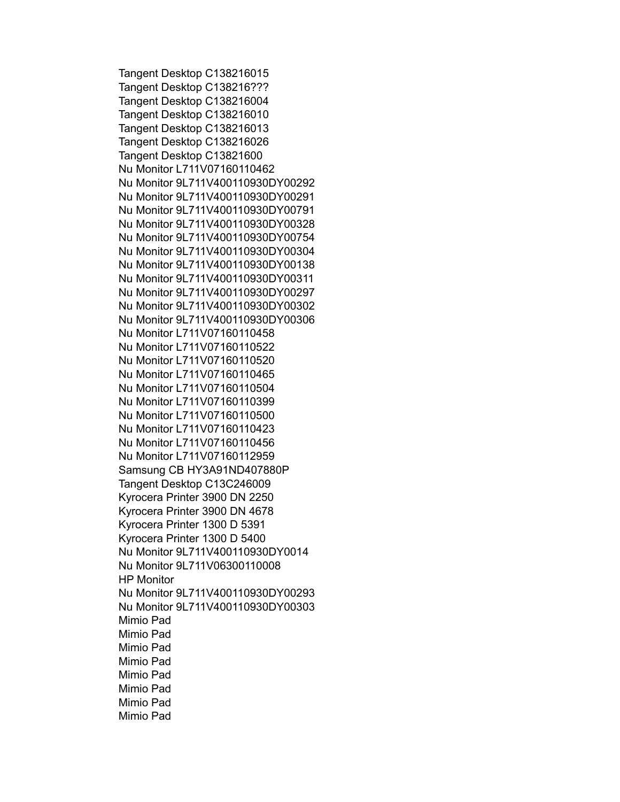Tangent Desktop C138216015 Tangent Desktop C138216??? Tangent Desktop C138216004 Tangent Desktop C138216010 Tangent Desktop C138216013 Tangent Desktop C138216026 Tangent Desktop C13821600 Nu Monitor L711V07160110462 Nu Monitor 9L711V400110930DY00292 Nu Monitor 9L711V400110930DY00291 Nu Monitor 9L711V400110930DY00791 Nu Monitor 9L711V400110930DY00328 Nu Monitor 9L711V400110930DY00754 Nu Monitor 9L711V400110930DY00304 Nu Monitor 9L711V400110930DY00138 Nu Monitor 9L711V400110930DY00311 Nu Monitor 9L711V400110930DY00297 Nu Monitor 9L711V400110930DY00302 Nu Monitor 9L711V400110930DY00306 Nu Monitor L711V07160110458 Nu Monitor L711V07160110522 Nu Monitor L711V07160110520 Nu Monitor L711V07160110465 Nu Monitor L711V07160110504 Nu Monitor L711V07160110399 Nu Monitor L711V07160110500 Nu Monitor L711V07160110423 Nu Monitor L711V07160110456 Nu Monitor L711V07160112959 Samsung CB HY3A91ND407880P Tangent Desktop C13C246009 Kyrocera Printer 3900 DN 2250 Kyrocera Printer 3900 DN 4678 Kyrocera Printer 1300 D 5391 Kyrocera Printer 1300 D 5400 Nu Monitor 9L711V400110930DY0014 Nu Monitor 9L711V06300110008 HP Monitor Nu Monitor 9L711V400110930DY00293 Nu Monitor 9L711V400110930DY00303 Mimio Pad Mimio Pad Mimio Pad Mimio Pad Mimio Pad Mimio Pad Mimio Pad Mimio Pad